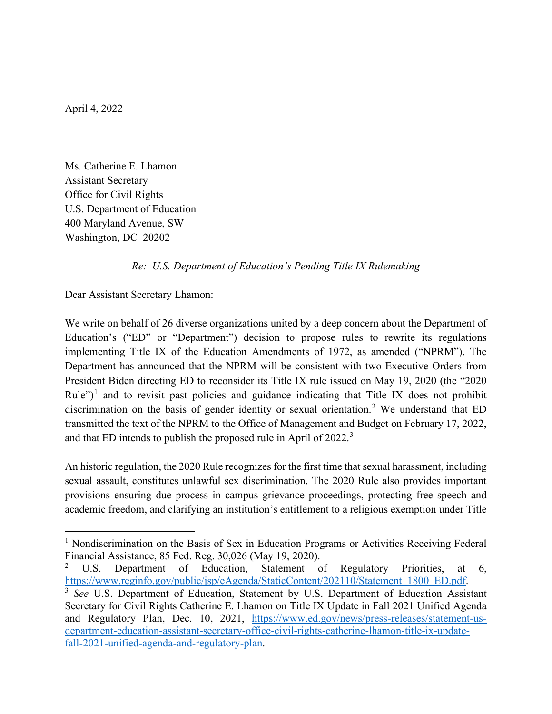April 4, 2022

Ms. Catherine E. Lhamon Assistant Secretary Office for Civil Rights U.S. Department of Education 400 Maryland Avenue, SW Washington, DC 20202

## *Re: U.S. Department of Education's Pending Title IX Rulemaking*

Dear Assistant Secretary Lhamon:

We write on behalf of 26 diverse organizations united by a deep concern about the Department of Education's ("ED" or "Department") decision to propose rules to rewrite its regulations implementing Title IX of the Education Amendments of 1972, as amended ("NPRM"). The Department has announced that the NPRM will be consistent with two Executive Orders from President Biden directing ED to reconsider its Title IX rule issued on May 19, 2020 (the "2020 Rule")<sup>[1](#page-0-0)</sup> and to revisit past policies and guidance indicating that Title IX does not prohibit discrimination on the basis of gender identity or sexual orientation.<sup>[2](#page-0-1)</sup> We understand that ED transmitted the text of the NPRM to the Office of Management and Budget on February 17, 2022, and that ED intends to publish the proposed rule in April of 2022.<sup>[3](#page-0-2)</sup>

An historic regulation, the 2020 Rule recognizes for the first time that sexual harassment, including sexual assault, constitutes unlawful sex discrimination. The 2020 Rule also provides important provisions ensuring due process in campus grievance proceedings, protecting free speech and academic freedom, and clarifying an institution's entitlement to a religious exemption under Title

<span id="page-0-0"></span><sup>&</sup>lt;sup>1</sup> Nondiscrimination on the Basis of Sex in Education Programs or Activities Receiving Federal Financial Assistance, 85 Fed. Reg. 30,026 (May 19, 2020).

<span id="page-0-1"></span><sup>&</sup>lt;sup>2</sup> U.S. Department of Education, Statement of Regulatory Priorities, at 6, https://www.reginfo.gov/public/jsp/eAgenda/StaticContent/202110/Statement 1800 ED.pdf.

<span id="page-0-2"></span><sup>&</sup>lt;sup>3</sup> See U.S. Department of Education, Statement by U.S. Department of Education Assistant Secretary for Civil Rights Catherine E. Lhamon on Title IX Update in Fall 2021 Unified Agenda and Regulatory Plan, Dec. 10, 2021, [https://www.ed.gov/news/press-releases/statement-us](https://www.ed.gov/news/press-releases/statement-us-department-education-assistant-secretary-office-civil-rights-catherine-lhamon-title-ix-update-fall-2021-unified-agenda-and-regulatory-plan)[department-education-assistant-secretary-office-civil-rights-catherine-lhamon-title-ix-update](https://www.ed.gov/news/press-releases/statement-us-department-education-assistant-secretary-office-civil-rights-catherine-lhamon-title-ix-update-fall-2021-unified-agenda-and-regulatory-plan)[fall-2021-unified-agenda-and-regulatory-plan.](https://www.ed.gov/news/press-releases/statement-us-department-education-assistant-secretary-office-civil-rights-catherine-lhamon-title-ix-update-fall-2021-unified-agenda-and-regulatory-plan)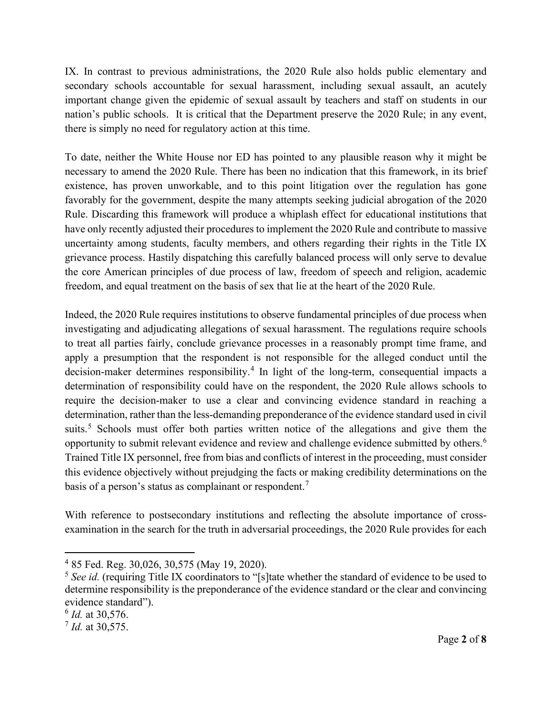IX. In contrast to previous administrations, the 2020 Rule also holds public elementary and secondary schools accountable for sexual harassment, including sexual assault, an acutely important change given the epidemic of sexual assault by teachers and staff on students in our nation's public schools. It is critical that the Department preserve the 2020 Rule; in any event, there is simply no need for regulatory action at this time.

To date, neither the White House nor ED has pointed to any plausible reason why it might be necessary to amend the 2020 Rule. There has been no indication that this framework, in its brief existence, has proven unworkable, and to this point litigation over the regulation has gone favorably for the government, despite the many attempts seeking judicial abrogation of the 2020 Rule. Discarding this framework will produce a whiplash effect for educational institutions that have only recently adjusted their procedures to implement the 2020 Rule and contribute to massive uncertainty among students, faculty members, and others regarding their rights in the Title IX grievance process. Hastily dispatching this carefully balanced process will only serve to devalue the core American principles of due process of law, freedom of speech and religion, academic freedom, and equal treatment on the basis of sex that lie at the heart of the 2020 Rule.

Indeed, the 2020 Rule requires institutions to observe fundamental principles of due process when investigating and adjudicating allegations of sexual harassment. The regulations require schools to treat all parties fairly, conclude grievance processes in a reasonably prompt time frame, and apply a presumption that the respondent is not responsible for the alleged conduct until the decision-maker determines responsibility. [4](#page-1-0) In light of the long-term, consequential impacts a determination of responsibility could have on the respondent, the 2020 Rule allows schools to require the decision-maker to use a clear and convincing evidence standard in reaching a determination, rather than the less-demanding preponderance of the evidence standard used in civil suits.<sup>[5](#page-1-1)</sup> Schools must offer both parties written notice of the allegations and give them the opportunity to submit relevant evidence and review and challenge evidence submitted by others.[6](#page-1-2) Trained Title IX personnel, free from bias and conflicts of interest in the proceeding, must consider this evidence objectively without prejudging the facts or making credibility determinations on the basis of a person's status as complainant or respondent.<sup>[7](#page-1-3)</sup>

With reference to postsecondary institutions and reflecting the absolute importance of crossexamination in the search for the truth in adversarial proceedings, the 2020 Rule provides for each

<span id="page-1-0"></span><sup>4</sup> 85 Fed. Reg. 30,026, 30,575 (May 19, 2020).

<span id="page-1-1"></span><sup>5</sup> *See id.* (requiring Title IX coordinators to "[s]tate whether the standard of evidence to be used to determine responsibility is the preponderance of the evidence standard or the clear and convincing evidence standard").

<span id="page-1-2"></span><sup>6</sup> *Id.* at 30,576.

<span id="page-1-3"></span><sup>7</sup> *Id.* at 30,575.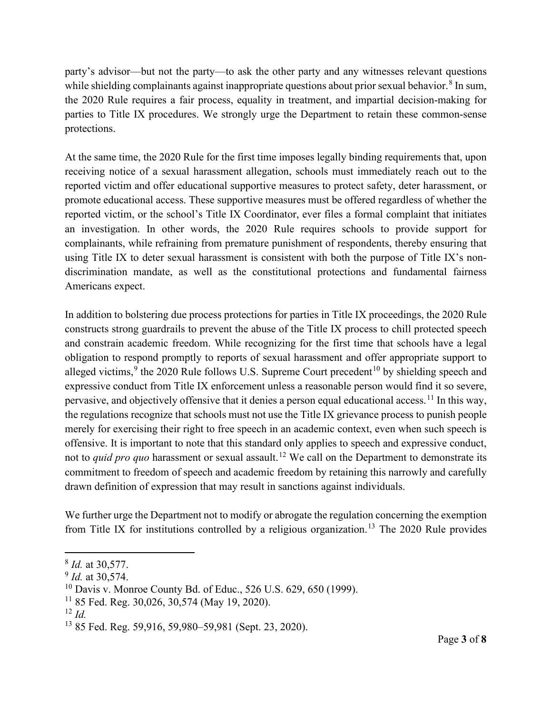party's advisor—but not the party—to ask the other party and any witnesses relevant questions while shielding complainants against inappropriate questions about prior sexual behavior.<sup>[8](#page-2-0)</sup> In sum, the 2020 Rule requires a fair process, equality in treatment, and impartial decision-making for parties to Title IX procedures. We strongly urge the Department to retain these common-sense protections.

At the same time, the 2020 Rule for the first time imposes legally binding requirements that, upon receiving notice of a sexual harassment allegation, schools must immediately reach out to the reported victim and offer educational supportive measures to protect safety, deter harassment, or promote educational access. These supportive measures must be offered regardless of whether the reported victim, or the school's Title IX Coordinator, ever files a formal complaint that initiates an investigation. In other words, the 2020 Rule requires schools to provide support for complainants, while refraining from premature punishment of respondents, thereby ensuring that using Title IX to deter sexual harassment is consistent with both the purpose of Title IX's nondiscrimination mandate, as well as the constitutional protections and fundamental fairness Americans expect.

In addition to bolstering due process protections for parties in Title IX proceedings, the 2020 Rule constructs strong guardrails to prevent the abuse of the Title IX process to chill protected speech and constrain academic freedom. While recognizing for the first time that schools have a legal obligation to respond promptly to reports of sexual harassment and offer appropriate support to alleged victims,  $9$  the 2020 Rule follows U.S. Supreme Court precedent  $^{10}$  $^{10}$  $^{10}$  by shielding speech and expressive conduct from Title IX enforcement unless a reasonable person would find it so severe, pervasive, and objectively offensive that it denies a person equal educational access. <sup>[11](#page-2-3)</sup> In this way, the regulations recognize that schools must not use the Title IX grievance process to punish people merely for exercising their right to free speech in an academic context, even when such speech is offensive. It is important to note that this standard only applies to speech and expressive conduct, not to *quid pro quo* harassment or sexual assault. [12](#page-2-4) We call on the Department to demonstrate its commitment to freedom of speech and academic freedom by retaining this narrowly and carefully drawn definition of expression that may result in sanctions against individuals.

We further urge the Department not to modify or abrogate the regulation concerning the exemption from Title IX for institutions controlled by a religious organization.<sup>[13](#page-2-5)</sup> The 2020 Rule provides

<span id="page-2-0"></span><sup>8</sup> *Id.* at 30,577.

<span id="page-2-1"></span><sup>&</sup>lt;sup>9</sup> *Id.* at 30,574.

<span id="page-2-2"></span><sup>10</sup> Davis v. Monroe County Bd. of Educ., 526 U.S. 629, 650 (1999).

<span id="page-2-3"></span> $11$  85 Fed. Reg. 30,026, 30,574 (May 19, 2020).

<span id="page-2-4"></span><sup>12</sup> *Id.*

<span id="page-2-5"></span><sup>13</sup> 85 Fed. Reg. 59,916, 59,980–59,981 (Sept. 23, 2020).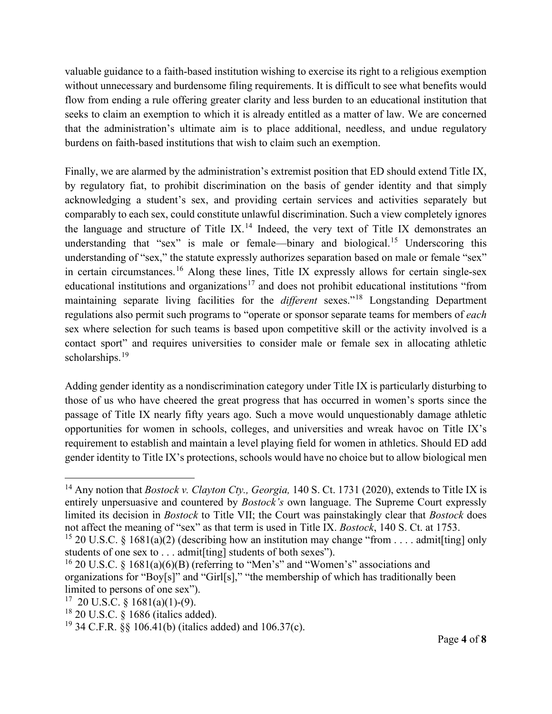valuable guidance to a faith-based institution wishing to exercise its right to a religious exemption without unnecessary and burdensome filing requirements. It is difficult to see what benefits would flow from ending a rule offering greater clarity and less burden to an educational institution that seeks to claim an exemption to which it is already entitled as a matter of law. We are concerned that the administration's ultimate aim is to place additional, needless, and undue regulatory burdens on faith-based institutions that wish to claim such an exemption.

Finally, we are alarmed by the administration's extremist position that ED should extend Title IX, by regulatory fiat, to prohibit discrimination on the basis of gender identity and that simply acknowledging a student's sex, and providing certain services and activities separately but comparably to each sex, could constitute unlawful discrimination. Such a view completely ignores the language and structure of Title IX.<sup>[14](#page-3-0)</sup> Indeed, the very text of Title IX demonstrates an understanding that "sex" is male or female—binary and biological.<sup>[15](#page-3-1)</sup> Underscoring this understanding of "sex," the statute expressly authorizes separation based on male or female "sex" in certain circumstances.<sup>[16](#page-3-2)</sup> Along these lines, Title IX expressly allows for certain single-sex educational institutions and organizations<sup>[17](#page-3-3)</sup> and does not prohibit educational institutions "from maintaining separate living facilities for the *different* sexes."[18](#page-3-4) Longstanding Department regulations also permit such programs to "operate or sponsor separate teams for members of *each* sex where selection for such teams is based upon competitive skill or the activity involved is a contact sport" and requires universities to consider male or female sex in allocating athletic scholarships.<sup>[19](#page-3-5)</sup>

Adding gender identity as a nondiscrimination category under Title IX is particularly disturbing to those of us who have cheered the great progress that has occurred in women's sports since the passage of Title IX nearly fifty years ago. Such a move would unquestionably damage athletic opportunities for women in schools, colleges, and universities and wreak havoc on Title IX's requirement to establish and maintain a level playing field for women in athletics. Should ED add gender identity to Title IX's protections, schools would have no choice but to allow biological men

<span id="page-3-0"></span><sup>14</sup> Any notion that *Bostock v. Clayton Cty., Georgia,* 140 S. Ct. 1731 (2020), extends to Title IX is entirely unpersuasive and countered by *Bostock's* own language. The Supreme Court expressly limited its decision in *Bostock* to Title VII; the Court was painstakingly clear that *Bostock* does not affect the meaning of "sex" as that term is used in Title IX. *Bostock*, 140 S. Ct. at 1753.

<span id="page-3-1"></span><sup>&</sup>lt;sup>15</sup> 20 U.S.C. § 1681(a)(2) (describing how an institution may change "from . . . . admit[ting] only students of one sex to . . . admit [ting] students of both sexes").

<span id="page-3-2"></span><sup>&</sup>lt;sup>16</sup> 20 U.S.C. § 1681(a)(6)(B) (referring to "Men's" and "Women's" associations and organizations for "Boy[s]" and "Girl[s]," "the membership of which has traditionally been limited to persons of one sex").

<span id="page-3-3"></span> $17$  20 U.S.C. § 1681(a)(1)-(9).

<span id="page-3-4"></span><sup>18</sup> 20 U.S.C. § 1686 (italics added).

<span id="page-3-5"></span><sup>&</sup>lt;sup>19</sup> 34 C.F.R.  $\frac{88}{106.41}$  (b) (italics added) and 106.37(c).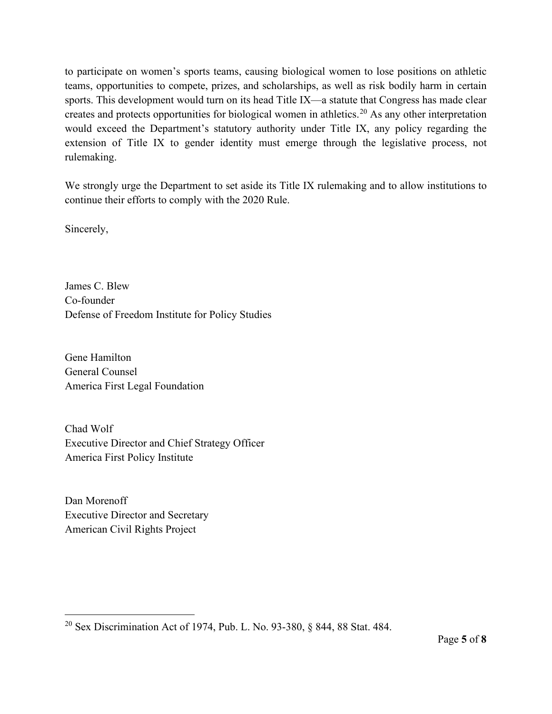to participate on women's sports teams, causing biological women to lose positions on athletic teams, opportunities to compete, prizes, and scholarships, as well as risk bodily harm in certain sports. This development would turn on its head Title IX—a statute that Congress has made clear creates and protects opportunities for biological women in athletics.[20](#page-4-0) As any other interpretation would exceed the Department's statutory authority under Title IX, any policy regarding the extension of Title IX to gender identity must emerge through the legislative process, not rulemaking.

We strongly urge the Department to set aside its Title IX rulemaking and to allow institutions to continue their efforts to comply with the 2020 Rule.

Sincerely,

James C. Blew Co-founder Defense of Freedom Institute for Policy Studies

Gene Hamilton General Counsel America First Legal Foundation

Chad Wolf Executive Director and Chief Strategy Officer America First Policy Institute

Dan Morenoff Executive Director and Secretary American Civil Rights Project

<span id="page-4-0"></span><sup>20</sup> Sex Discrimination Act of 1974, Pub. L. No. 93-380, § 844, 88 Stat. 484.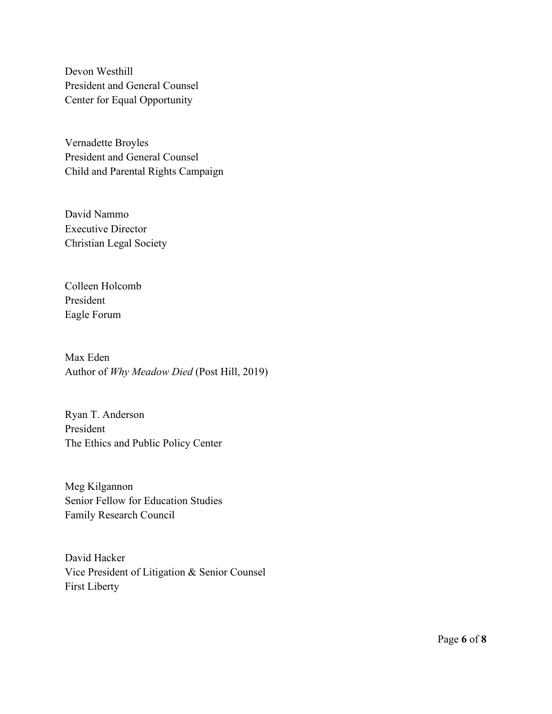Devon Westhill President and General Counsel Center for Equal Opportunity

Vernadette Broyles President and General Counsel Child and Parental Rights Campaign

David Nammo Executive Director Christian Legal Society

Colleen Holcomb President Eagle Forum

Max Eden Author of *Why Meadow Died* (Post Hill, 2019)

Ryan T. Anderson President The Ethics and Public Policy Center

Meg Kilgannon Senior Fellow for Education Studies Family Research Council

David Hacker Vice President of Litigation & Senior Counsel First Liberty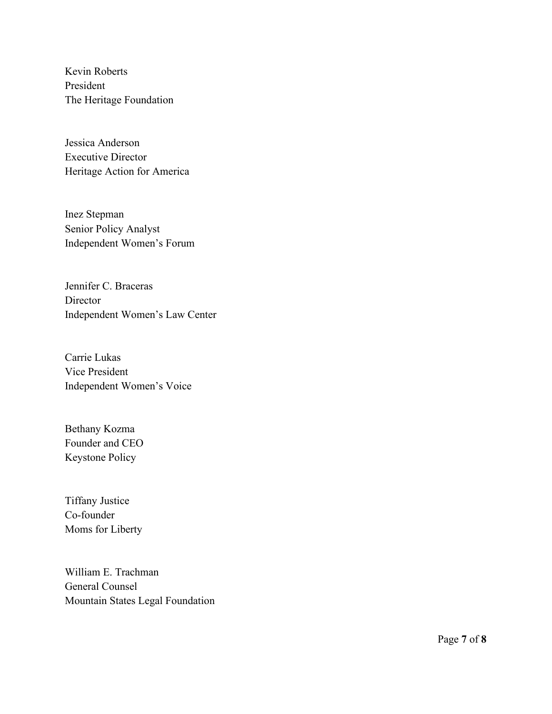Kevin Roberts President The Heritage Foundation

Jessica Anderson Executive Director Heritage Action for America

Inez Stepman Senior Policy Analyst Independent Women's Forum

Jennifer C. Braceras **Director** Independent Women's Law Center

Carrie Lukas Vice President Independent Women's Voice

Bethany Kozma Founder and CEO Keystone Policy

Tiffany Justice Co-founder Moms for Liberty

William E. Trachman General Counsel Mountain States Legal Foundation